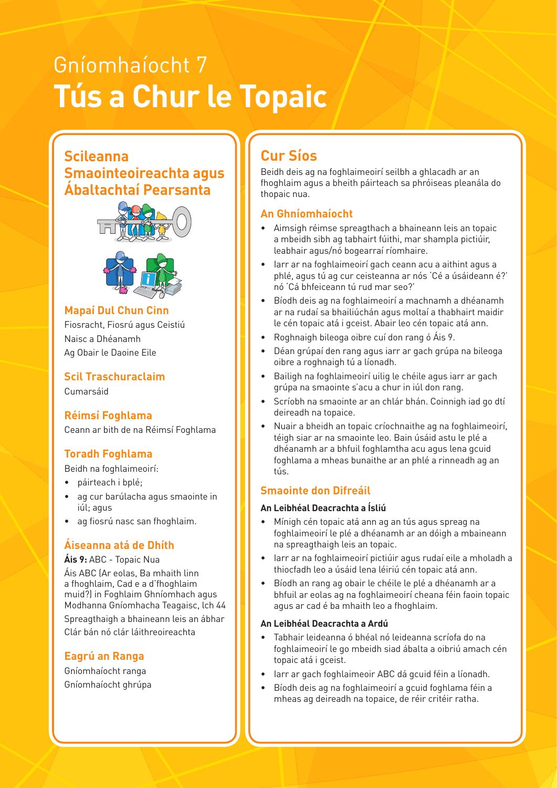# Gníomhaíocht 7 **Tús a Chur le Topaic**

### **Scileanna Smaointeoireachta agus Ábaltachtaí Pearsanta**





#### **Example 19 Mapaí Dul Chun Cinn Ann an Ann an Ann an Ann an Ann an Ann an Ann an Ann an Ann an Ann an Ann an A**

Fiosracht, Fiosrú agus Ceistiú Naisc a Dhéanamh Ag Obair le Daoine Eile

**Scil Traschuraclaim**  Cumarsáid

#### **Réimsí Foghlama** Ceann ar bith de na Réimsí Foghlama

#### **Toradh Foghlama**

Beidh na foghlaimeoirí:

- páirteach i bplé;
- ag cur barúlacha agus smaointe in iúl; agus
- ag fiosrú nasc san fhoghlaim.

#### **Áiseanna atá de Dhíth**

#### **Áis 9:** ABC - Topaic Nua

Áis ABC (Ar eolas, Ba mhaith linn a fhoghlaim, Cad e a d'fhoghlaim muid?) in Foghlaim Ghníomhach agus Modhanna Gníomhacha Teagaisc, lch 44 Spreagthaigh a bhaineann leis an ábhar Clár bán nó clár láithreoireachta

#### **Eagrú an Ranga**

Gníomhaíocht ranga Gníomhaíocht ghrúpa

### **Cur Síos**

Beidh deis ag na foghlaimeoirí seilbh a ghlacadh ar an fhoghlaim agus a bheith páirteach sa phróiseas pleanála do thopaic nua.

#### **An Ghníomhaíocht**

- Aimsigh réimse spreagthach a bhaineann leis an topaic a mbeidh sibh ag tabhairt fúithi, mar shampla pictiúir, with Others Thinking With Others Thinking, Problem-Solving Managing Managing Information Self-Management Being C
	- Iarr ar na foghlaimeoirí gach ceann acu a aithint agus a phlé, agus tú ag cur ceisteanna ar nós 'Cé a úsáideann é?' nó 'Cá bhfeiceann tú rud mar seo?'
	- Bíodh deis ag na foghlaimeoirí a machnamh a dhéanamh ar na rudaí sa bhailiúchán agus moltaí a thabhairt maidir le cén topaic atá i gceist. Abair leo cén topaic atá ann.
	- Roghnaigh bileoga oibre cuí don rang ó Áis 9.
	- Déan grúpaí den rang agus iarr ar gach grúpa na bileoga oibre a roghnaigh tú a líonadh.
	- Bailigh na foghlaimeoirí uilig le chéile agus iarr ar gach grúpa na smaointe s'acu a chur in iúl don rang.
	- Scríobh na smaointe ar an chlár bhán. Coinnigh iad go dtí deireadh na topaice.
	- Nuair a bheidh an topaic críochnaithe ag na foghlaimeoirí, téigh siar ar na smaointe leo. Bain úsáid astu le plé a dhéanamh ar a bhfuil foghlamtha acu agus lena gcuid foghlama a mheas bunaithe ar an phlé a rinneadh ag an tús.

#### **Smaointe don Difreáil**

#### **An Leibhéal Deacrachta a Ísliú**

- Mínigh cén topaic atá ann ag an tús agus spreag na foghlaimeoirí le plé a dhéanamh ar an dóigh a mbaineann na spreagthaigh leis an topaic.
- Iarr ar na foghlaimeoirí pictiúir agus rudaí eile a mholadh a thiocfadh leo a úsáid lena léiriú cén topaic atá ann.
- Bíodh an rang ag obair le chéile le plé a dhéanamh ar a bhfuil ar eolas ag na foghlaimeoirí cheana féin faoin topaic agus ar cad é ba mhaith leo a fhoghlaim.

#### **An Leibhéal Deacrachta a Ardú**

- Tabhair leideanna ó bhéal nó leideanna scríofa do na foghlaimeoirí le go mbeidh siad ábalta a oibriú amach cén topaic atá i gceist.
- Iarr ar gach foghlaimeoir ABC dá gcuid féin a líonadh.
- Bíodh deis ag na foghlaimeoirí a gcuid foghlama féin a mheas ag deireadh na topaice, de réir critéir ratha.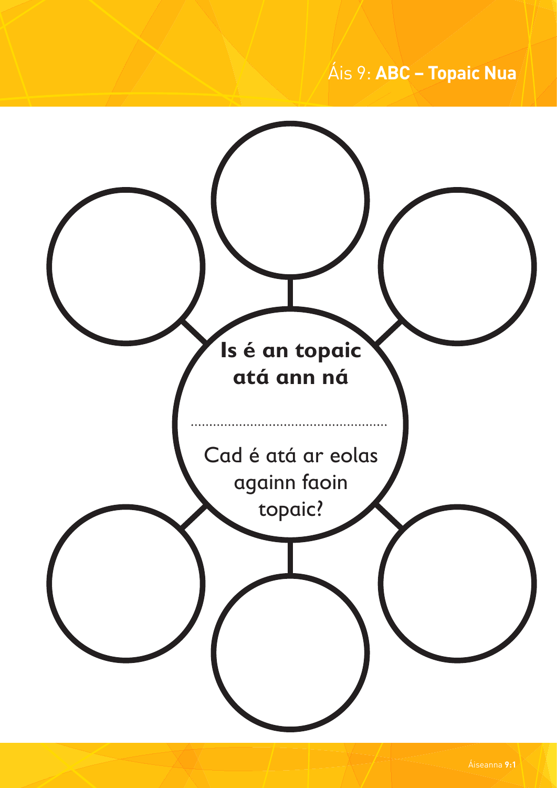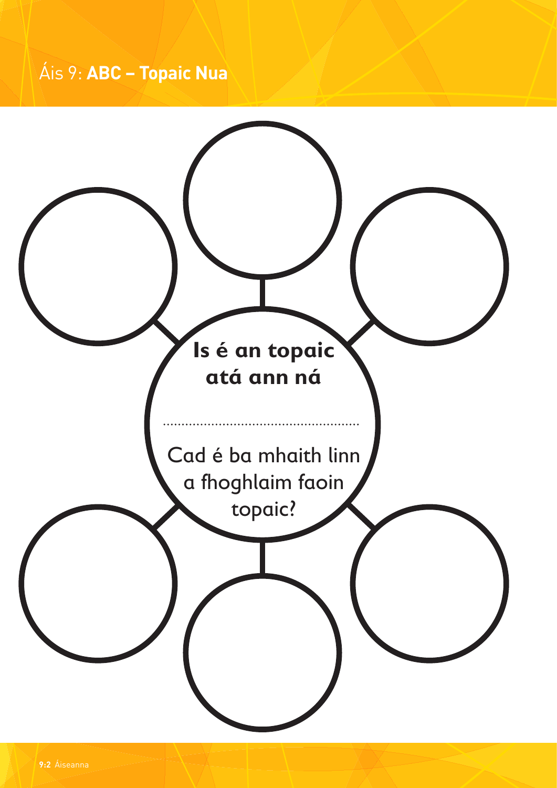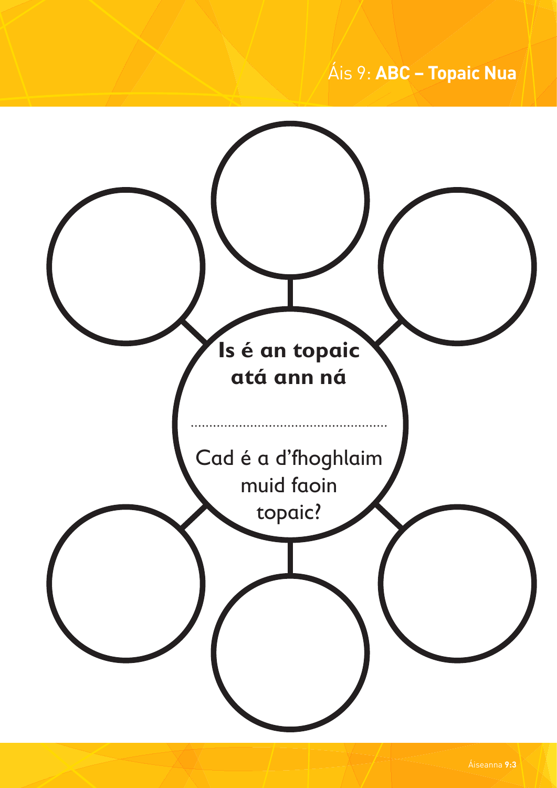